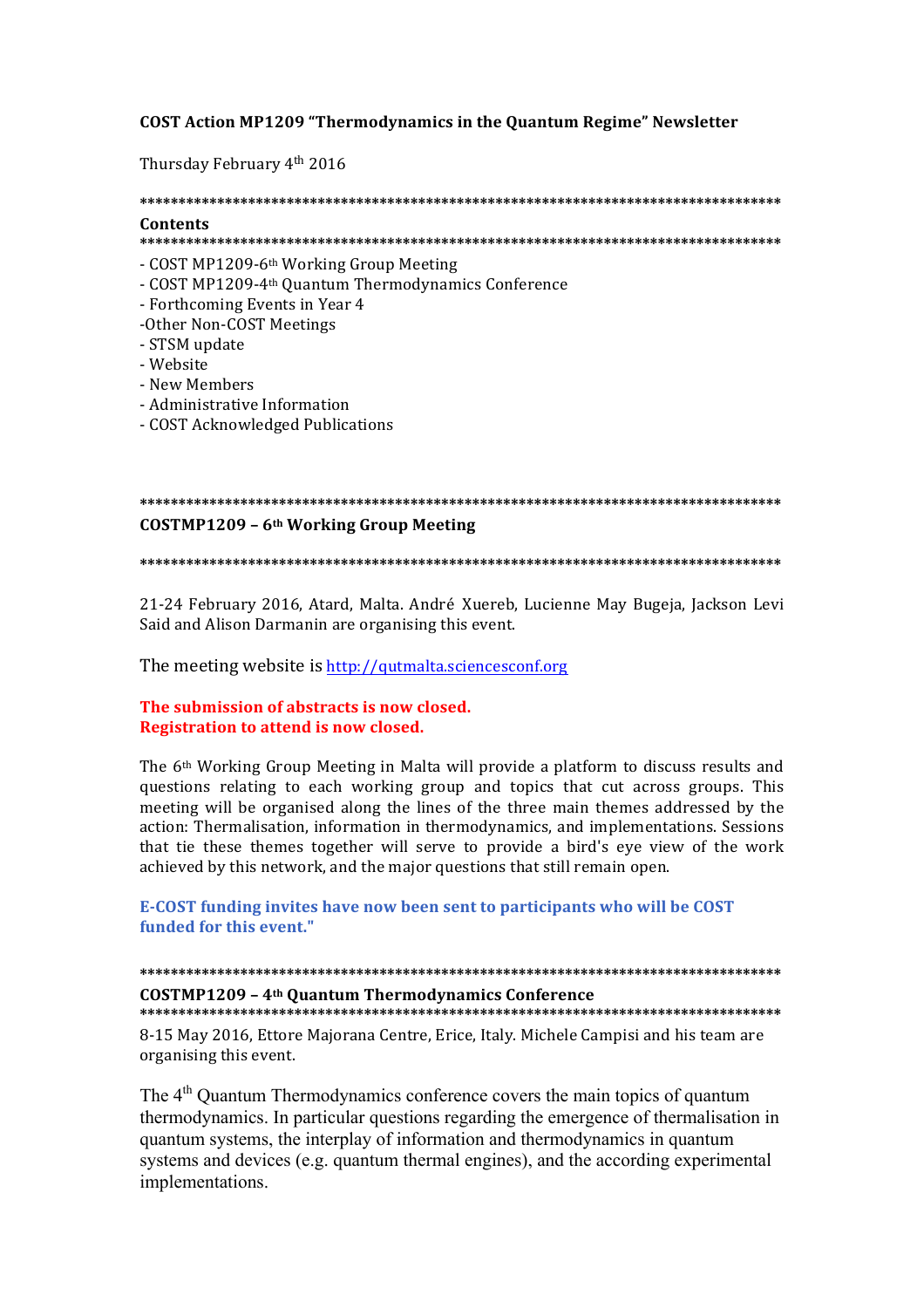## **COST Action MP1209 "Thermodynamics in the Quantum Regime" Newsletter**

Thursday February 4th 2016

# **\*\*\*\*\*\*\*\*\*\*\*\*\*\*\*\*\*\*\*\*\*\*\*\*\*\*\*\*\*\*\*\*\*\*\*\*\*\*\*\*\*\*\*\*\*\*\*\*\*\*\*\*\*\*\*\*\*\*\*\*\*\*\*\*\*\*\*\*\*\*\*\*\*\*\*\*\*\*\*\*\*\*\* Contents**

## **\*\*\*\*\*\*\*\*\*\*\*\*\*\*\*\*\*\*\*\*\*\*\*\*\*\*\*\*\*\*\*\*\*\*\*\*\*\*\*\*\*\*\*\*\*\*\*\*\*\*\*\*\*\*\*\*\*\*\*\*\*\*\*\*\*\*\*\*\*\*\*\*\*\*\*\*\*\*\*\*\*\*\***

- COST MP1209-6<sup>th</sup> Working Group Meeting
- COST MP1209-4th Quantum Thermodynamics Conference
- Forthcoming Events in Year 4
- -Other Non-COST Meetings
- STSM update
- Website
- New Members
- Administrative Information
- COST Acknowledged Publications

# **\*\*\*\*\*\*\*\*\*\*\*\*\*\*\*\*\*\*\*\*\*\*\*\*\*\*\*\*\*\*\*\*\*\*\*\*\*\*\*\*\*\*\*\*\*\*\*\*\*\*\*\*\*\*\*\*\*\*\*\*\*\*\*\*\*\*\*\*\*\*\*\*\*\*\*\*\*\*\*\*\*\*\* COSTMP1209 – 6th Working Group Meeting**

**\*\*\*\*\*\*\*\*\*\*\*\*\*\*\*\*\*\*\*\*\*\*\*\*\*\*\*\*\*\*\*\*\*\*\*\*\*\*\*\*\*\*\*\*\*\*\*\*\*\*\*\*\*\*\*\*\*\*\*\*\*\*\*\*\*\*\*\*\*\*\*\*\*\*\*\*\*\*\*\*\*\*\***

21-24 February 2016, Atard, Malta. André Xuereb, Lucienne May Bugeja, Jackson Levi Said and Alison Darmanin are organising this event.

The meeting website is http://qutmalta.sciencesconf.org

## **The submission of abstracts is now closed. Registration to attend is now closed.**

The  $6<sup>th</sup>$  Working Group Meeting in Malta will provide a platform to discuss results and questions relating to each working group and topics that cut across groups. This meeting will be organised along the lines of the three main themes addressed by the action: Thermalisation, information in thermodynamics, and implementations. Sessions that tie these themes together will serve to provide a bird's eve view of the work achieved by this network, and the major questions that still remain open.

**E-COST funding invites have now been sent to participants who will be COST funded for this event."** 

## **\*\*\*\*\*\*\*\*\*\*\*\*\*\*\*\*\*\*\*\*\*\*\*\*\*\*\*\*\*\*\*\*\*\*\*\*\*\*\*\*\*\*\*\*\*\*\*\*\*\*\*\*\*\*\*\*\*\*\*\*\*\*\*\*\*\*\*\*\*\*\*\*\*\*\*\*\*\*\*\*\*\*\* COSTMP1209 – 4th Quantum Thermodynamics Conference \*\*\*\*\*\*\*\*\*\*\*\*\*\*\*\*\*\*\*\*\*\*\*\*\*\*\*\*\*\*\*\*\*\*\*\*\*\*\*\*\*\*\*\*\*\*\*\*\*\*\*\*\*\*\*\*\*\*\*\*\*\*\*\*\*\*\*\*\*\*\*\*\*\*\*\*\*\*\*\*\*\*\***

8-15 May 2016, Ettore Majorana Centre, Erice, Italy. Michele Campisi and his team are organising this event.

The 4<sup>th</sup> Quantum Thermodynamics conference covers the main topics of quantum thermodynamics. In particular questions regarding the emergence of thermalisation in quantum systems, the interplay of information and thermodynamics in quantum systems and devices (e.g. quantum thermal engines), and the according experimental implementations.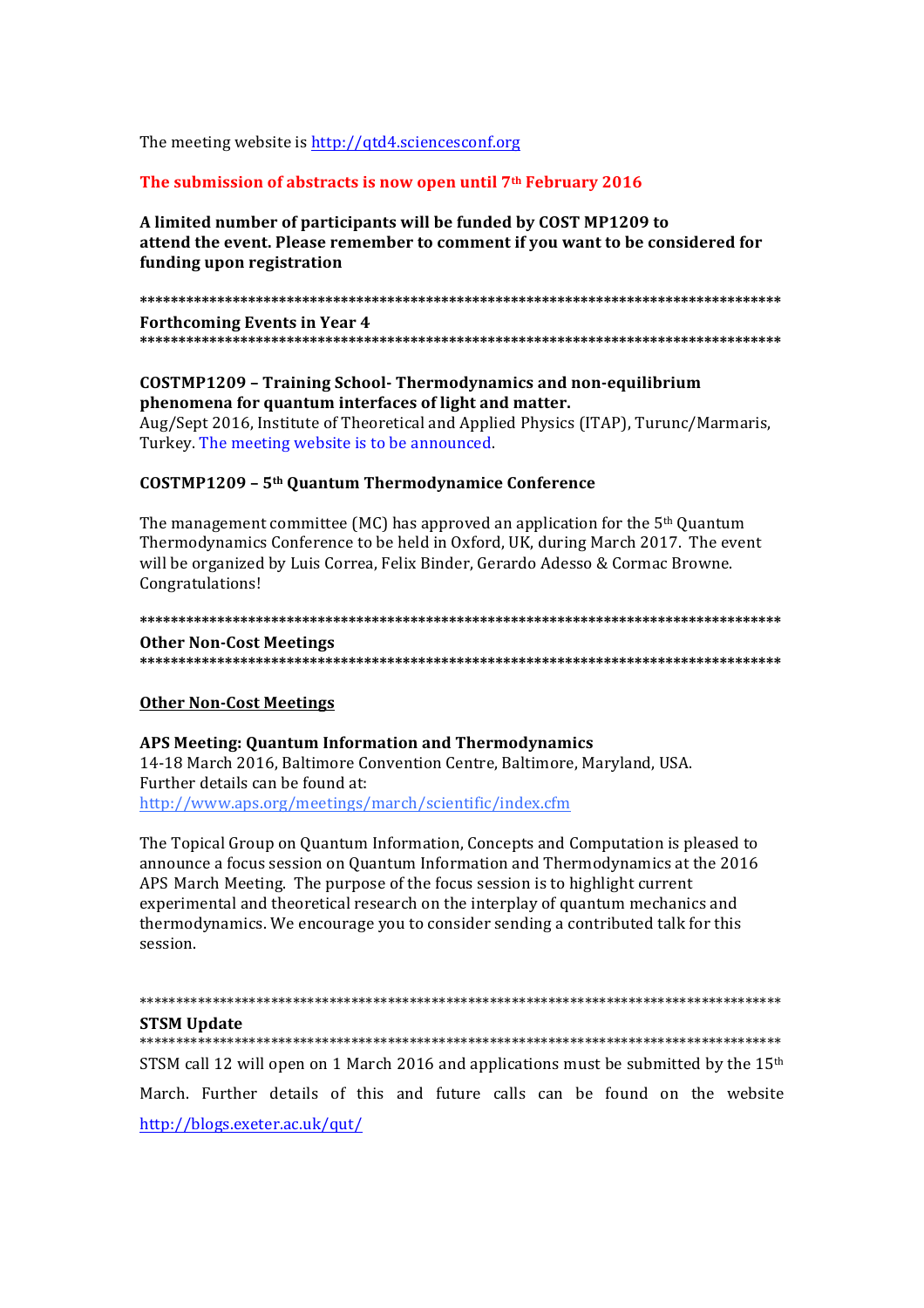The meeting website is http://qtd4.sciencesconf.org

## The submission of abstracts is now open until 7<sup>th</sup> February 2016

## A limited number of participants will be funded by COST MP1209 to attend the event. Please remember to comment if you want to be considered for funding upon registration

**Forthcoming Events in Year 4** 

## **COSTMP1209 - Training School- Thermodynamics and non-equilibrium** phenomena for quantum interfaces of light and matter.

Aug/Sept 2016, Institute of Theoretical and Applied Physics (ITAP), Turunc/Marmaris, Turkey. The meeting website is to be announced.

#### **COSTMP1209 - 5th Quantum Thermodynamice Conference**

The management committee (MC) has approved an application for the  $5<sup>th</sup>$  Quantum Thermodynamics Conference to be held in Oxford, UK, during March 2017. The event will be organized by Luis Correa, Felix Binder, Gerardo Adesso & Cormac Browne. Congratulations!

#### 

#### **Other Non-Cost Meetings**

## **Other Non-Cost Meetings**

# APS Meeting: Quantum Information and Thermodynamics

14-18 March 2016, Baltimore Convention Centre, Baltimore, Maryland, USA. Further details can be found at: http://www.aps.org/meetings/march/scientific/index.cfm

The Topical Group on Quantum Information, Concepts and Computation is pleased to announce a focus session on Quantum Information and Thermodynamics at the 2016 APS March Meeting. The purpose of the focus session is to highlight current experimental and theoretical research on the interplay of quantum mechanics and thermodynamics. We encourage you to consider sending a contributed talk for this session.

#### 

#### **STSM Update**

#### 

STSM call 12 will open on 1 March 2016 and applications must be submitted by the  $15<sup>th</sup>$ March. Further details of this and future calls can be found on the website http://blogs.exeter.ac.uk/qut/